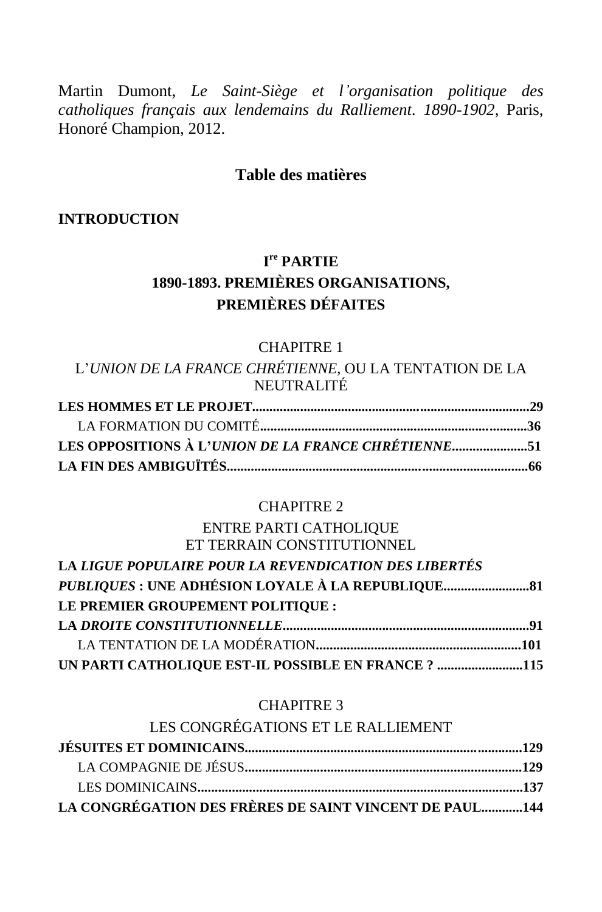Martin Dumont, *Le Saint-Siège et l'organisation politique des catholiques français aux lendemains du Ralliement. 1890-1902*, Paris, Honoré Champion, 2012.

### **Table des matières**

#### **INTRODUCTION**

# **I re PARTIE 1890-1893. PREMIÈRES ORGANISATIONS, PREMIÈRES DÉFAITES**

#### CHAPITRE 1

L'*UNION DE LA FRANCE CHRÉTIENNE*, OU LA TENTATION DE LA NEUTRALITÉ

#### CHAPITRE 2

#### ENTRE PARTI CATHOLIQUE ET TERRAIN CONSTITUTIONNEL

| LA LIGUE POPULAIRE POUR LA REVENDICATION DES LIBERTÉS |  |
|-------------------------------------------------------|--|
|                                                       |  |
| LE PREMIER GROUPEMENT POLITIOUE :                     |  |
|                                                       |  |
|                                                       |  |
| UN PARTI CATHOLIQUE EST-IL POSSIBLE EN FRANCE ? 115   |  |

#### CHAPITRE 3

| LES CONGRÉGATIONS ET LE RALLIEMENT                     |  |
|--------------------------------------------------------|--|
|                                                        |  |
|                                                        |  |
|                                                        |  |
| LA CONGRÉGATION DES FRÈRES DE SAINT VINCENT DE PAUL144 |  |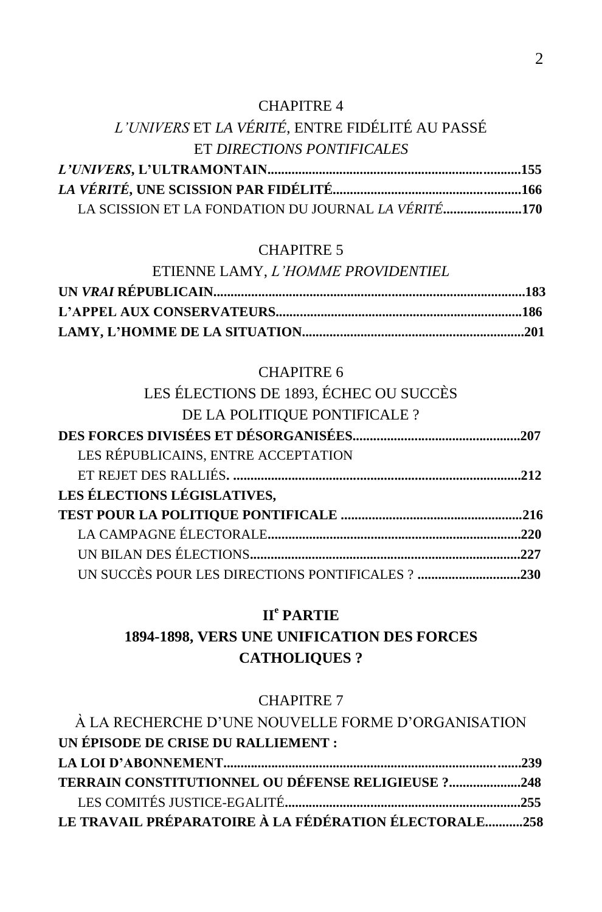#### CHAPITRE 4

# *L'UNIVERS* ET *LA VÉRITÉ*, ENTRE FIDÉLITÉ AU PASSÉ ET *DIRECTIONS PONTIFICALES*

| LA SCISSION ET LA FONDATION DU JOURNAL LA VÉRITÉ170 |
|-----------------------------------------------------|

#### CHAPITRE 5

| ETIENNE LAMY, L'HOMME PROVIDENTIEL |  |
|------------------------------------|--|
|                                    |  |
|                                    |  |
|                                    |  |

#### CHAPITRE 6

| LES ÉLECTIONS DE 1893, ÉCHEC OU SUCCÈS |      |
|----------------------------------------|------|
| DE LA POLITIQUE PONTIFICALE ?          |      |
|                                        |      |
| LES RÉPUBLICAINS, ENTRE ACCEPTATION    |      |
|                                        |      |
| LES ÉLECTIONS LÉGISLATIVES,            |      |
|                                        |      |
|                                        |      |
|                                        | .227 |
|                                        |      |

## **II<sup>e</sup> PARTIE**

# **1894-1898, VERS UNE UNIFICATION DES FORCES CATHOLIQUES ?**

#### CHAPITRE 7

| À LA RECHERCHE D'UNE NOUVELLE FORME D'ORGANISATION    |  |
|-------------------------------------------------------|--|
| UN ÉPISODE DE CRISE DU RALLIEMENT :                   |  |
|                                                       |  |
| TERRAIN CONSTITUTIONNEL OU DÉFENSE RELIGIEUSE ?248    |  |
|                                                       |  |
| LE TRAVAIL PRÉPARATOIRE À LA FÉDÉRATION ÉLECTORALE258 |  |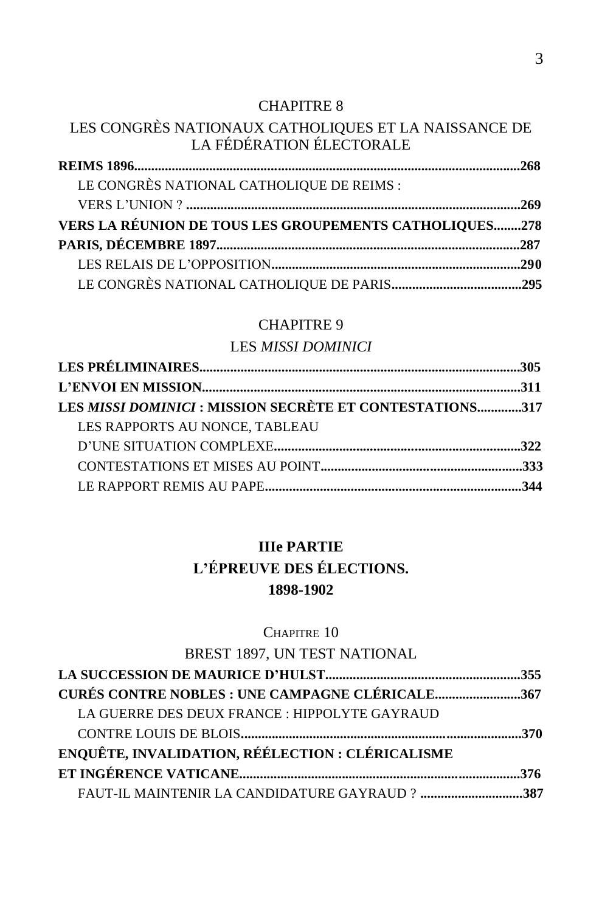#### CHAPITRE 8

### LES CONGRÈS NATIONAUX CATHOLIQUES ET LA NAISSANCE DE LA FÉDÉRATION ÉLECTORALE

| LE CONGRÈS NATIONAL CATHOLIQUE DE REIMS :              |  |
|--------------------------------------------------------|--|
|                                                        |  |
| VERS LA RÉUNION DE TOUS LES GROUPEMENTS CATHOLIQUES278 |  |
|                                                        |  |
|                                                        |  |
|                                                        |  |

#### CHAPITRE 9

## LES *MISSI DOMINICI*

| LES MISSI DOMINICI : MISSION SECRÈTE ET CONTESTATIONS317 |  |
|----------------------------------------------------------|--|
| LES RAPPORTS AU NONCE, TABLEAU                           |  |
|                                                          |  |
|                                                          |  |
|                                                          |  |
|                                                          |  |

## **IIIe PARTIE**

## **L'ÉPREUVE DES ÉLECTIONS. 1898-1902**

### CHAPITRE 10

### BREST 1897, UN TEST NATIONAL

| <b>CURÉS CONTRE NOBLES : UNE CAMPAGNE CLÉRICALE367</b> |  |
|--------------------------------------------------------|--|
| LA GUERRE DES DEUX FRANCE : HIPPOLYTE GAYRAUD          |  |
|                                                        |  |
| ENQUÊTE, INVALIDATION, RÉÉLECTION : CLÉRICALISME       |  |
|                                                        |  |
| FAUT-IL MAINTENIR LA CANDIDATURE GAYRAUD ? 387         |  |